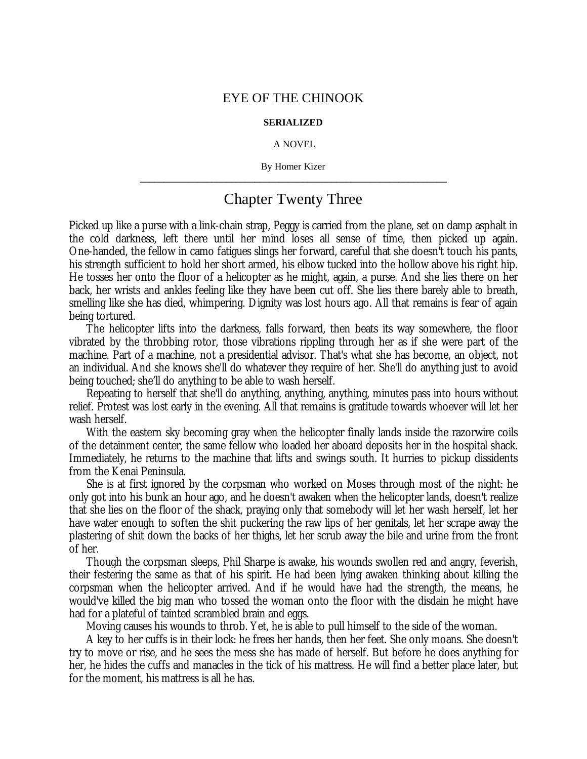## EYE OF THE CHINOOK

## **SERIALIZED**

## A NOVEL

By Homer Kizer **\_\_\_\_\_\_\_\_\_\_\_\_\_\_\_\_\_\_\_\_\_\_\_\_\_\_\_\_\_\_\_\_\_\_\_\_\_\_\_\_\_\_\_\_\_\_\_\_\_\_\_\_\_\_\_\_\_\_\_\_\_\_\_\_**

## Chapter Twenty Three

Picked up like a purse with a link-chain strap, Peggy is carried from the plane, set on damp asphalt in the cold darkness, left there until her mind loses all sense of time, then picked up again. One-handed, the fellow in camo fatigues slings her forward, careful that she doesn't touch his pants, his strength sufficient to hold her short armed, his elbow tucked into the hollow above his right hip. He tosses her onto the floor of a helicopter as he might, again, a purse. And she lies there on her back, her wrists and ankles feeling like they have been cut off. She lies there barely able to breath, smelling like she has died, whimpering. Dignity was lost hours ago. All that remains is fear of again being tortured.

The helicopter lifts into the darkness, falls forward, then beats its way somewhere, the floor vibrated by the throbbing rotor, those vibrations rippling through her as if she were part of the machine. Part of a machine, not a presidential advisor. That's what she has become, an object, not an individual. And she knows she'll do whatever they require of her. She'll do anything just to avoid being touched; she'll do anything to be able to wash herself.

Repeating to herself that she'll do anything, anything, anything, minutes pass into hours without relief. Protest was lost early in the evening. All that remains is gratitude towards whoever will let her wash herself.

With the eastern sky becoming gray when the helicopter finally lands inside the razorwire coils of the detainment center, the same fellow who loaded her aboard deposits her in the hospital shack. Immediately, he returns to the machine that lifts and swings south. It hurries to pickup dissidents from the Kenai Peninsula.

She is at first ignored by the corpsman who worked on Moses through most of the night: he only got into his bunk an hour ago, and he doesn't awaken when the helicopter lands, doesn't realize that she lies on the floor of the shack, praying only that somebody will let her wash herself, let her have water enough to soften the shit puckering the raw lips of her genitals, let her scrape away the plastering of shit down the backs of her thighs, let her scrub away the bile and urine from the front of her.

Though the corpsman sleeps, Phil Sharpe is awake, his wounds swollen red and angry, feverish, their festering the same as that of his spirit. He had been lying awaken thinking about killing the corpsman when the helicopter arrived. And if he would have had the strength, the means, he would've killed the big man who tossed the woman onto the floor with the disdain he might have had for a plateful of tainted scrambled brain and eggs.

Moving causes his wounds to throb. Yet, he is able to pull himself to the side of the woman.

A key to her cuffs is in their lock: he frees her hands, then her feet. She only moans. She doesn't try to move or rise, and he sees the mess she has made of herself. But before he does anything for her, he hides the cuffs and manacles in the tick of his mattress. He will find a better place later, but for the moment, his mattress is all he has.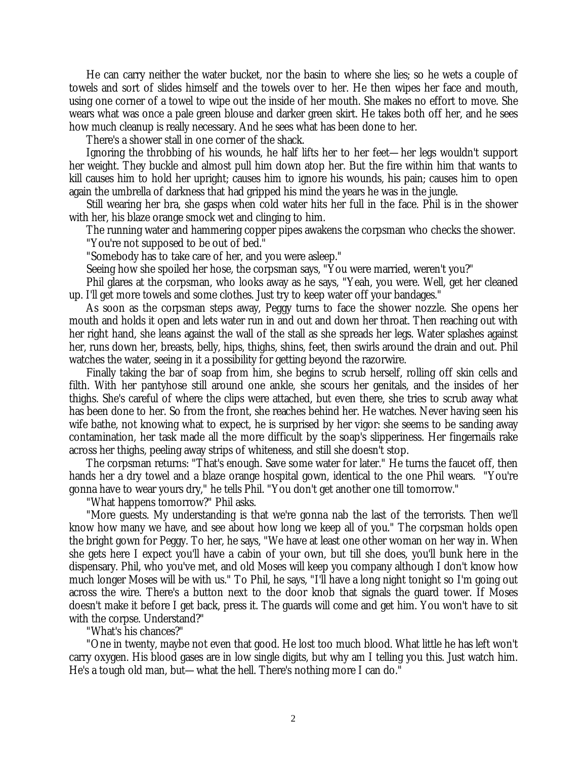He can carry neither the water bucket, nor the basin to where she lies; so he wets a couple of towels and sort of slides himself and the towels over to her. He then wipes her face and mouth, using one corner of a towel to wipe out the inside of her mouth. She makes no effort to move. She wears what was once a pale green blouse and darker green skirt. He takes both off her, and he sees how much cleanup is really necessary. And he sees what has been done to her.

There's a shower stall in one corner of the shack.

Ignoring the throbbing of his wounds, he half lifts her to her feet— her legs wouldn't support her weight. They buckle and almost pull him down atop her. But the fire within him that wants to kill causes him to hold her upright; causes him to ignore his wounds, his pain; causes him to open again the umbrella of darkness that had gripped his mind the years he was in the jungle.

Still wearing her bra, she gasps when cold water hits her full in the face. Phil is in the shower with her, his blaze orange smock wet and clinging to him.

The running water and hammering copper pipes awakens the corpsman who checks the shower. "You're not supposed to be out of bed."

"Somebody has to take care of her, and you were asleep."

Seeing how she spoiled her hose, the corpsman says, "You were married, weren't you?"

Phil glares at the corpsman, who looks away as he says, "Yeah, you were. Well, get her cleaned up. I'll get more towels and some clothes. Just try to keep water off your bandages."

As soon as the corpsman steps away, Peggy turns to face the shower nozzle. She opens her mouth and holds it open and lets water run in and out and down her throat. Then reaching out with her right hand, she leans against the wall of the stall as she spreads her legs. Water splashes against her, runs down her, breasts, belly, hips, thighs, shins, feet, then swirls around the drain and out. Phil watches the water, seeing in it a possibility for getting beyond the razorwire.

Finally taking the bar of soap from him, she begins to scrub herself, rolling off skin cells and filth. With her pantyhose still around one ankle, she scours her genitals, and the insides of her thighs. She's careful of where the clips were attached, but even there, she tries to scrub away what has been done to her. So from the front, she reaches behind her. He watches. Never having seen his wife bathe, not knowing what to expect, he is surprised by her vigor: she seems to be sanding away contamination, her task made all the more difficult by the soap's slipperiness. Her fingernails rake across her thighs, peeling away strips of whiteness, and still she doesn't stop.

The corpsman returns: "That's enough. Save some water for later." He turns the faucet off, then hands her a dry towel and a blaze orange hospital gown, identical to the one Phil wears. "You're gonna have to wear yours dry," he tells Phil. "You don't get another one till tomorrow."

"What happens tomorrow?" Phil asks.

"More guests. My understanding is that we're gonna nab the last of the terrorists. Then we'll know how many we have, and see about how long we keep all of you." The corpsman holds open the bright gown for Peggy. To her, he says, "We have at least one other woman on her way in. When she gets here I expect you'll have a cabin of your own, but till she does, you'll bunk here in the dispensary. Phil, who you've met, and old Moses will keep you company although I don't know how much longer Moses will be with us." To Phil, he says, "I'll have a long night tonight so I'm going out across the wire. There's a button next to the door knob that signals the guard tower. If Moses doesn't make it before I get back, press it. The guards will come and get him. You won't have to sit with the corpse. Understand?"

"What's his chances?"

"One in twenty, maybe not even that good. He lost too much blood. What little he has left won't carry oxygen. His blood gases are in low single digits, but why am I telling you this. Just watch him. He's a tough old man, but— what the hell. There's nothing more I can do."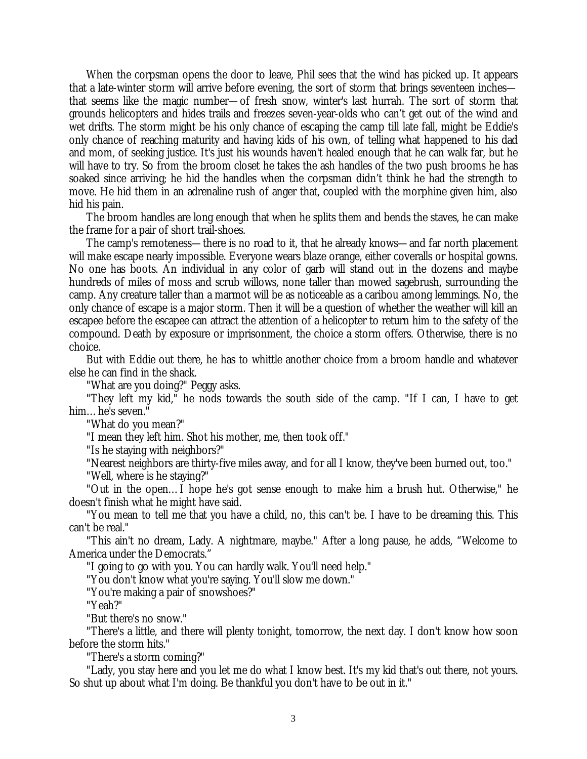When the corpsman opens the door to leave, Phil sees that the wind has picked up. It appears that a late-winter storm will arrive before evening, the sort of storm that brings seventeen inches that seems like the magic number— of fresh snow, winter's last hurrah. The sort of storm that grounds helicopters and hides trails and freezes seven-year-olds who can't get out of the wind and wet drifts. The storm might be his only chance of escaping the camp till late fall, might be Eddie's only chance of reaching maturity and having kids of his own, of telling what happened to his dad and mom, of seeking justice. It's just his wounds haven't healed enough that he can walk far, but he will have to try. So from the broom closet he takes the ash handles of the two push brooms he has soaked since arriving; he hid the handles when the corpsman didn't think he had the strength to move. He hid them in an adrenaline rush of anger that, coupled with the morphine given him, also hid his pain.

The broom handles are long enough that when he splits them and bends the staves, he can make the frame for a pair of short trail-shoes.

The camp's remoteness— there is no road to it, that he already knows— and far north placement will make escape nearly impossible. Everyone wears blaze orange, either coveralls or hospital gowns. No one has boots. An individual in any color of garb will stand out in the dozens and maybe hundreds of miles of moss and scrub willows, none taller than mowed sagebrush, surrounding the camp. Any creature taller than a marmot will be as noticeable as a caribou among lemmings. No, the only chance of escape is a major storm. Then it will be a question of whether the weather will kill an escapee before the escapee can attract the attention of a helicopter to return him to the safety of the compound. Death by exposure or imprisonment, the choice a storm offers. Otherwise, there is no choice.

But with Eddie out there, he has to whittle another choice from a broom handle and whatever else he can find in the shack.

"What are you doing?" Peggy asks.

"They left my kid," he nods towards the south side of the camp. "If I can, I have to get him… he's seven."

"What do you mean?"

"I mean they left him. Shot his mother, me, then took off."

"Is he staying with neighbors?"

"Nearest neighbors are thirty-five miles away, and for all I know, they've been burned out, too."

"Well, where is he staying?"

"Out in the open… I hope he's got sense enough to make him a brush hut. Otherwise," he doesn't finish what he might have said.

"You mean to tell me that you have a child, no, this can't be. I have to be dreaming this. This can't be real."

"This ain't no dream, Lady. A nightmare, maybe." After a long pause, he adds, "Welcome to America under the Democrats."

"I going to go with you. You can hardly walk. You'll need help."

"You don't know what you're saying. You'll slow me down."

"You're making a pair of snowshoes?"

"Yeah?"

"But there's no snow."

"There's a little, and there will plenty tonight, tomorrow, the next day. I don't know how soon before the storm hits."

"There's a storm coming?"

"Lady, you stay here and you let me do what I know best. It's my kid that's out there, not yours. So shut up about what I'm doing. Be thankful you don't have to be out in it."